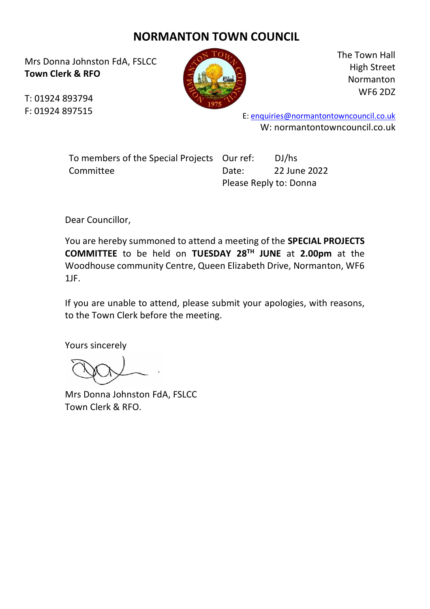## **NORMANTON TOWN COUNCIL**

Mrs Donna Johnston FdA, FSLCC **Town Clerk & RFO**



The Town Hall High Street Normanton WF6 2DZ

T: 01924 893794 F: 01924 897515

E: [enquiries@normantontowncouncil.co.uk](mailto:enquiries@normantontowncouncil.co.uk) W: normantontowncouncil.co.uk

| To members of the Special Projects Our ref: |       | DJ/hs                  |  |
|---------------------------------------------|-------|------------------------|--|
| Committee                                   | Date: | 22 June 2022           |  |
|                                             |       | Please Reply to: Donna |  |

Dear Councillor,

You are hereby summoned to attend a meeting of the **SPECIAL PROJECTS COMMITTEE** to be held on **TUESDAY 28TH JUNE** at **2.00pm** at the Woodhouse community Centre, Queen Elizabeth Drive, Normanton, WF6 1JF.

If you are unable to attend, please submit your apologies, with reasons, to the Town Clerk before the meeting.

Yours sincerely

Mrs Donna Johnston FdA, FSLCC Town Clerk & RFO.